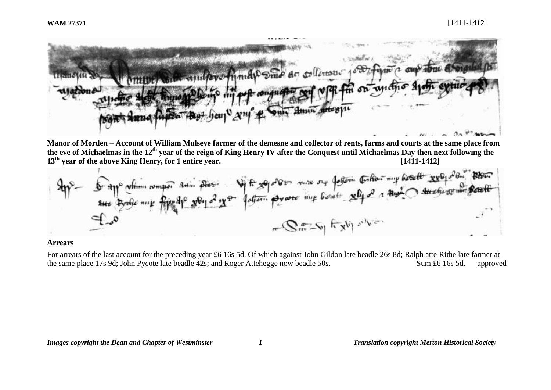

**Manor of Morden – Account of William Mulseye farmer of the demesne and collector of rents, farms and courts at the same place from the eve of Michaelmas in the 12th year of the reign of King Henry IV after the Conquest until Michaelmas Day then next following the 13th year of the above King Henry, for 1 entire year. [1411-1412]**

$$
4\eta^2 - \oint \text{app of } \frac{1}{2} \pi \int \text{p} \cdot \frac{1}{2} \int \text{p} \cdot \frac{1}{2} \int \text{p} \cdot \frac{1}{2} \int \text{p} \cdot \frac{1}{2} \int \text{p} \cdot \frac{1}{2} \int \text{p} \cdot \frac{1}{2} \int \text{p} \cdot \frac{1}{2} \int \text{p} \cdot \frac{1}{2} \int \text{p} \cdot \frac{1}{2} \int \text{p} \cdot \frac{1}{2} \int \text{p} \cdot \frac{1}{2} \int \text{p} \cdot \frac{1}{2} \int \text{p} \cdot \frac{1}{2} \int \text{p} \cdot \frac{1}{2} \int \text{p} \cdot \frac{1}{2} \int \text{p} \cdot \frac{1}{2} \int \text{p} \cdot \frac{1}{2} \int \text{p} \cdot \frac{1}{2} \int \text{p} \cdot \frac{1}{2} \int \text{p} \cdot \frac{1}{2} \int \text{p} \cdot \frac{1}{2} \int \text{p} \cdot \frac{1}{2} \int \text{p} \cdot \frac{1}{2} \int \text{p} \cdot \frac{1}{2} \int \text{p} \cdot \frac{1}{2} \int \text{p} \cdot \frac{1}{2} \int \text{p} \cdot \frac{1}{2} \int \text{p} \cdot \frac{1}{2} \int \text{p} \cdot \frac{1}{2} \int \text{p} \cdot \frac{1}{2} \int \text{p} \cdot \frac{1}{2} \int \text{p} \cdot \frac{1}{2} \int \text{p} \cdot \frac{1}{2} \int \text{p} \cdot \frac{1}{2} \int \text{p} \cdot \frac{1}{2} \int \text{p} \cdot \frac{1}{2} \int \text{p} \cdot \frac{1}{2} \int \text{p} \cdot \frac{1}{2} \int \text{p} \cdot \frac{1}{2} \int \text{p} \cdot \frac{1}{2} \int \text{p} \cdot \frac{1}{2} \int \text{p} \cdot \frac{1}{2} \int \text{p} \cdot \frac{1}{2} \int \text{p} \cdot \frac{1}{2} \int \text{p} \cdot \frac{1}{2} \int \text{p} \cdot \frac{1}{2}
$$

## **Arrears**

For arrears of the last account for the preceding year £6 16s 5d. Of which against John Gildon late beadle 26s 8d; Ralph atte Rithe late farmer at the same place 17s 9d; John Pycote late beadle 42s; and Roger Attehegge now beadle 50s. Sum £6 16s 5d. approved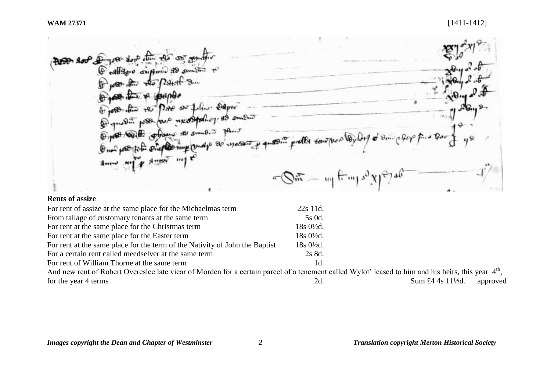$9.800$ Altaro criptomio 80 porto  $R_{\rm 3H}$  $\frac{1}{2}$ 贷 на пон  $\sim 0$ As PAG on filing  $\mathbf{P}_{\text{dute}}$  $2214$ Come and they mean ⊕ Open with order  $+12$ 120.  $\pi_{\theta}$ .,9  $\bigoplus_{n\neq n}$  $\epsilon$ f 40  $\cdot$  1111  $\mu$  $4...$  $\mathbf{r}$  $-\bigotimes_{m=-m}^{\infty}$   $\lim_{m \to \infty}$   $\frac{1}{2}$ 

# **Rents of assize**

| For rent of assize at the same place for the Michaelmas term                                                                                                    | 22s 11d.               |                                          |
|-----------------------------------------------------------------------------------------------------------------------------------------------------------------|------------------------|------------------------------------------|
| From tallage of customary tenants at the same term                                                                                                              | 5s 0d.                 |                                          |
| For rent at the same place for the Christmas term                                                                                                               | 18s 0½d.               |                                          |
| For rent at the same place for the Easter term                                                                                                                  | $18s\ 0\frac{1}{2}d$ . |                                          |
| For rent at the same place for the term of the Nativity of John the Baptist                                                                                     | $18s\ 0\frac{1}{2}d$ . |                                          |
| For a certain rent called meedselver at the same term                                                                                                           | 2s 8d.                 |                                          |
| For rent of William Thorne at the same term                                                                                                                     | 1d.                    |                                          |
| And new rent of Robert Overeslee late vicar of Morden for a certain parcel of a tenement called Wylot' leased to him and his heirs, this year 4 <sup>th</sup> , |                        |                                          |
| for the year 4 terms                                                                                                                                            | 2d.                    | Sum £4 4s $11\frac{1}{2}$ d.<br>approved |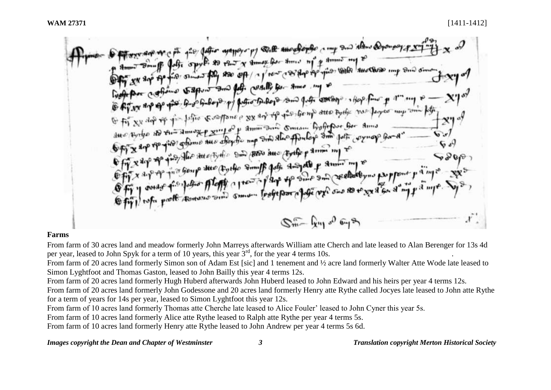128 Jeffer exapply of the amort of the comp and almos Dyong offe sport to the y small for the mind of some my of when a post to the or time that we are the the property with the come on the sum of the country for some my of Good por coforme to appoint and for composition of the cooling shape for part and P E fit xx do of you left a southerne p xx and the green atte by the vas layer my and left Of Fit XX dop of fix folio & suppose a xx any of the fix for my acto the follow for amis<br>aux forthe and the same of xing of aminomic sum forfefore for amis<br>Off X are the fine offerme aux staying my similar for lope sum pat Off x are to the shown are shown in some to the the six and the expectation of the state of the state of the state of the state of the state of the state of the state of the state of the state of the state of the state of  $S_{m}^{\mathcal{F}}$   $\mathcal{G}_{m}^{\mathcal{G}}$   $\mathcal{G}_{m}^{\mathcal{G}}$ 

# **Farms**

From farm of 30 acres land and meadow formerly John Marreys afterwards William atte Cherch and late leased to Alan Berenger for 13s 4d per year, leased to John Spyk for a term of 10 years, this year  $3<sup>rd</sup>$ , for the year 4 terms 10s.

From farm of 20 acres land formerly Simon son of Adam Est [sic] and 1 tenement and 1/2 acre land formerly Walter Atte Wode late leased to Simon Lyghtfoot and Thomas Gaston, leased to John Bailly this year 4 terms 12s.

From farm of 20 acres land formerly Hugh Huberd afterwards John Huberd leased to John Edward and his heirs per year 4 terms 12s.

From farm of 20 acres land formerly John Godessone and 20 acres land formerly Henry atte Rythe called Jocyes late leased to John atte Rythe for a term of years for 14s per year, leased to Simon Lyghtfoot this year 12s.

From farm of 10 acres land formerly Thomas atte Cherche late leased to Alice Fouler' leased to John Cyner this year 5s.

From farm of 10 acres land formerly Alice atte Rythe leased to Ralph atte Rythe per year 4 terms 5s.

From farm of 10 acres land formerly Henry atte Rythe leased to John Andrew per year 4 terms 5s 6d.

*Images copyright the Dean and Chapter of Westminster 3 Translation copyright Merton Historical Society*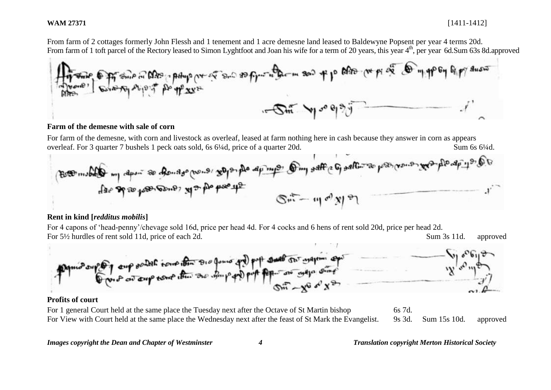From farm of 2 cottages formerly John Flessh and 1 tenement and 1 acre demesne land leased to Baldewyne Popsent per year 4 terms 20d.



### **Farm of the demesne with sale of corn**

For farm of the demesne, with corn and livestock as overleaf, leased at farm nothing here in cash because they answer in corn as appears overleaf. For 3 quarter 7 bushels 1 peck oats sold, 6s 6¼d, price of a quarter 20d. Sum 6s 6¼d.



## **Rent in kind [***redditus mobilis***]**

For 4 capons of 'head-penny'/chevage sold 16d, price per head 4d. For 4 cocks and 6 hens of rent sold 20d, price per head 2d. For 5 $\frac{1}{2}$  hurdles of rent sold 11d, price of each 2d. Sum 3s 11d. approved



## **Profits of court**

For 1 general Court held at the same place the Tuesday next after the Octave of St Martin bishop 6s 7d. For View with Court held at the same place the Wednesday next after the feast of St Mark the Evangelist. 9s 3d. Sum 15s 10d. approved

### *Images copyright the Dean and Chapter of Westminster 4 Translation copyright Merton Historical Society*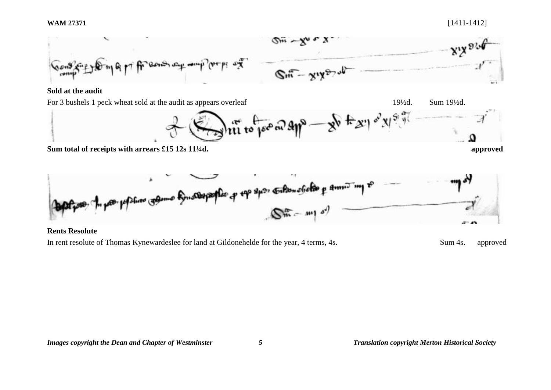

# **Sold at the audit**

For 3 bushels 1 peck wheat sold at the audit as appears overleaf 19<sup>1</sup>/2d. Sum 19<sup>1</sup>/2d. Sum 19<sup>1</sup>/2d.



**Sum total of receipts with arrears £15 12s 11¼d. approved**



# **Rents Resolute**

In rent resolute of Thomas Kynewardeslee for land at Gildonehelde for the year, 4 terms, 4s. Sum 4s. approved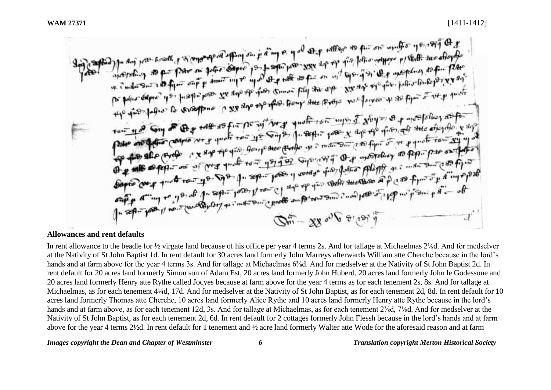1537 and the research of a contemporate of the parties of the contemporate of the second contemporate the second of the second contemporate the second contemporate of the second contemporate the second contemporate of the to principal its traditions to a set and the free pouls are defend in place of set of the set of the set of the the documentation to example in 228 and the general point are the mine of opinion of a medicines state. the the police to suppose a system of the strip and the most stop of the opposite to the town use Sun of the rather of the sun with the mother of the potential of the mother of the content Before comp que to the company of the company of the section of the section of the company of the company of the company of the company of the company of the company of the company of the company of the company of the comp The self-ber 11 re- Conservation international surface of the state of the state of the state of the state of the state of the state of the state of the state of the state of the state of the state of the state of the stat  $Q_m - x x \omega V$  and  $\tilde{y}$ 

### **Allowances and rent defaults**

In rent allowance to the beadle for ½ virgate land because of his office per year 4 terms 2s. And for tallage at Michaelmas 2⅛d. And for medselver at the Nativity of St John Baptist 1d. In rent default for 30 acres land formerly John Marreys afterwards William atte Cherche because in the lord's hands and at farm above for the year 4 terms 3s. And for tallage at Michaelmas 6<sup>3</sup>/<sub>8</sub>d. And for medselver at the Nativity of St John Baptist 2d. In rent default for 20 acres land formerly Simon son of Adam Est, 20 acres land formerly John Huberd, 20 acres land formerly John le Godessone and 20 acres land formerly Henry atte Rythe called Jocyes because at farm above for the year 4 terms as for each tenement 2s, 8s. And for tallage at Michaelmas, as for each tenement 4¼d, 17d. And for medselver at the Nativity of St John Baptist, as for each tenement 2d, 8d. In rent default for 10 acres land formerly Thomas atte Cherche, 10 acres land formerly Alice Rythe and 10 acres land formerly Henry atte Rythe because in the lord's hands and at farm above, as for each tenement 12d, 3s. And for tallage at Michaelmas, as for each tenement  $2\frac{3}{d}$ ,  $7\frac{1}{d}$ . And for medselver at the Nativity of St John Baptist, as for each tenement 2d, 6d. In rent default for 2 cottages formerly John Flessh because in the lord's hands and at farm above for the year 4 terms 2½d. In rent default for 1 tenement and ½ acre land formerly Walter atte Wode for the aforesaid reason and at farm

*Images copyright the Dean and Chapter of Westminster 6 Translation copyright Merton Historical Society*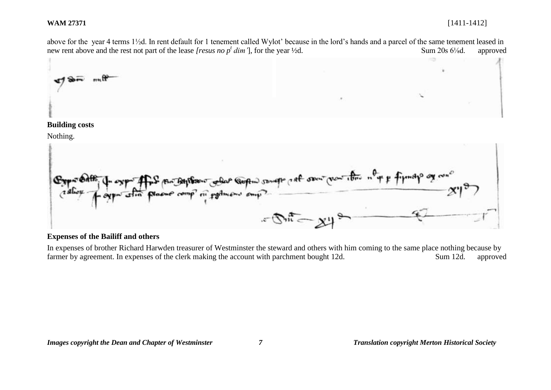above for the year 4 terms 1½d. In rent default for 1 tenement called Wylot' because in the lord's hands and a parcel of the same tenement leased in new rent above and the rest not part of the lease *[resus no p<sup>t</sup> dim'*], for the year ½d. Sum 20s 6<sup>1</sup>/<sub>8</sub>d. approved



### **Building costs**

Nothing.



# **Expenses of the Bailiff and others**

In expenses of brother Richard Harwden treasurer of Westminster the steward and others with him coming to the same place nothing because by farmer by agreement. In expenses of the clerk making the account with parchment bought 12d. Sum 12d. approved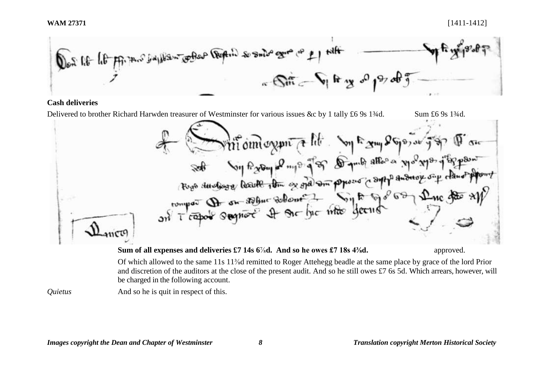

# **Cash deliveries**

Delivered to brother Richard Harwden treasurer of Westminster for various issues &c by 1 tally £6 9s 1¾d. Sum £6 9s 1¾d. Pittemorent & lite Soy Fram 25por auf for The of the outlet of the focus of the state of the state of the state of the state of the state of the state of the state of the state of the state of the state of the state of the state of the state of the state of the state **Sum of all expenses and deliveries £7 14s 6<sup>7</sup>/<sub>8</sub><b>d.** And so he owes £7 18s 4<sup>3</sup>/<sub>8</sub>**d.** approved.

> Of which allowed to the same 11s 11⅜d remitted to Roger Attehegg beadle at the same place by grace of the lord Prior and discretion of the auditors at the close of the present audit. And so he still owes £7 6s 5d. Which arrears, however, will be charged in the following account.

*Quietus* And so he is quit in respect of this.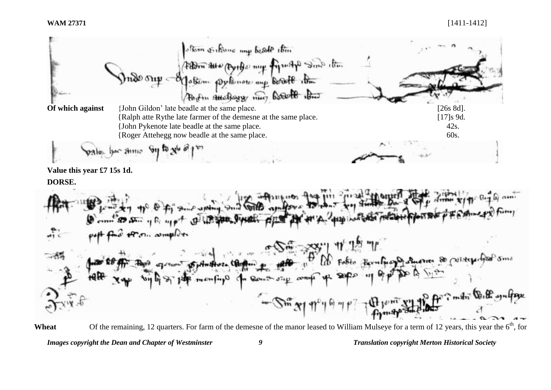

*Images copyright the Dean and Chapter of Westminster 9 Translation copyright Merton Historical Society* Wheat Of the remaining, 12 quarters. For farm of the demesne of the manor leased to William Mulseye for a term of 12 years, this year the 6<sup>th</sup>, for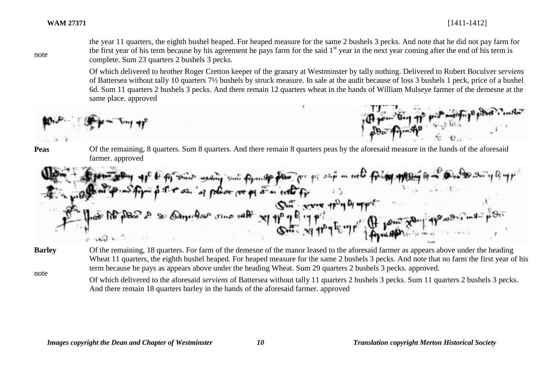note

the year 11 quarters, the eighth bushel heaped. For heaped measure for the same 2 bushels 3 pecks. And note that he did not pay farm for the first year of his term because by his agreement he pays farm for the said  $1<sup>st</sup>$  year in the next year coming after the end of his term is complete. Sum 23 quarters 2 bushels 3 pecks.

Of which delivered to brother Roger Cretton keeper of the granary at Westminster by tally nothing. Delivered to Robert Boculver *serviens* of Battersea without tally 10 quarters 7½ bushels by struck measure. In sale at the audit because of loss 3 bushels 1 peck, price of a bushel 6d. Sum 11 quarters 2 bushels 3 pecks. And there remain 12 quarters wheat in the hands of William Mulseye farmer of the demesne at the same place. approved

$$
\text{Hom}_{\mathcal{P}}=\{\text{Hom}_{\mathcal{P}}\text{Hom}_{\mathcal{P}}\text{op}_{\mathcal{P}}\text{op}_{\mathcal{P}}\text{op}_{\mathcal{P}}\text{op}_{\mathcal{P}}\text{op}_{\mathcal{P}}\text{op}_{\mathcal{P}}\text{op}_{\mathcal{P}}\text{op}_{\mathcal{P}}\text{op}_{\mathcal{P}}\text{op}_{\mathcal{P}}\text{op}_{\mathcal{P}}\text{op}_{\mathcal{P}}\text{op}_{\mathcal{P}}\text{op}_{\mathcal{P}}\text{op}_{\mathcal{P}}\text{op}_{\mathcal{P}}\text{op}_{\mathcal{P}}\text{op}_{\mathcal{P}}\text{op}_{\mathcal{P}}\text{op}_{\mathcal{P}}\text{op}_{\mathcal{P}}\text{op}_{\mathcal{P}}\text{op}_{\mathcal{P}}\text{op}_{\mathcal{P}}\text{op}_{\mathcal{P}}\text{op}_{\mathcal{P}}\text{op}_{\mathcal{P}}\text{op}_{\mathcal{P}}\text{op}_{\mathcal{P}}\text{op}_{\mathcal{P}}\text{op}_{\mathcal{P}}\text{op}_{\mathcal{P}}\text{op}_{\mathcal{P}}\text{op}_{\mathcal{P}}\text{op}_{\mathcal{P}}\text{op}_{\mathcal{P}}\text{op}_{\mathcal{P}}\text{op}_{\mathcal{P}}\text{op}_{\mathcal{P}}\text{op}_{\mathcal{P}}\text{op}_{\mathcal{P}}\text{op}_{\mathcal{P}}\text{op}_{\mathcal{P}}\text{op}_{\mathcal{P}}\text{op}_{\mathcal{P}}\text{op}_{\mathcal{P}}\text{op}_{\mathcal{P}}\text{op}_{\mathcal{P}}\text{op}_{\mathcal{P}}\text{op}_{\mathcal{P}}\text{op}_{\mathcal{P}}\text{op}_{\mathcal{P}}\text{op}_{\mathcal{P}}\text{op}_{\mathcal{P}}\text{op}_{\mathcal{P}}\text{op}_{\mathcal{P}}\text{op}_{\mathcal{P}}\text{op}_{\mathcal{P}}\text{op}_{\mathcal{P}}\text{op}_{\mathcal{P}}\text{op}_{\mathcal{P}}\text{op}_{\mathcal{P}}\text{op}_{\mathcal{P}}\text{op}_{\mathcal{P}}\text{op}_{\mathcal{P}}\text{op}_{\mathcal{P}}
$$

**Peas** Of the remaining, 8 quarters. Sum 8 quarters. And there remain 8 quarters peas by the aforesaid measure in the hands of the aforesaid farmer. approved

westing Suit formate police at p 5 m

**Barley**

Of the remaining, 18 quarters. For farm of the demesne of the manor leased to the aforesaid farmer as appears above under the heading Wheat 11 quarters, the eighth bushel heaped. For heaped measure for the same 2 bushels 3 pecks. And note that no farm the first year of his term because he pays as appears above under the heading Wheat. Sum 29 quarters 2 bushels 3 pecks. approved.

note

Of which delivered to the aforesaid *serviens* of Battersea without tally 11 quarters 2 bushels 3 pecks. Sum 11 quarters 2 bushels 3 pecks. And there remain 18 quarters barley in the hands of the aforesaid farmer. approved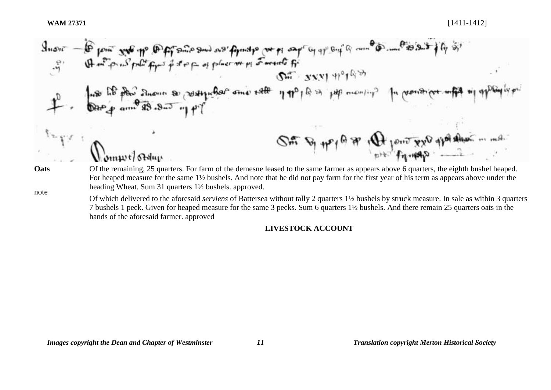| Since $\overrightarrow{B}$ from $\overrightarrow{S}$ and $\overrightarrow{W}$ from $\overrightarrow{B}$ from $\overrightarrow{S}$ and $\overrightarrow{W}$ from $\overrightarrow{B}$ in $\overrightarrow{B}$ and $\overrightarrow{B}$ from $\overrightarrow{B}$ and $\overrightarrow{B}$ are not placed.                                                                                                                                                                                                                                                                                                                                                                                                                                                                                                                                                                                                                                                                                                                                                                                                                                                                                                                                                                                                                                                                                                                                                                                                                                                                                                                      |
|-------------------------------------------------------------------------------------------------------------------------------------------------------------------------------------------------------------------------------------------------------------------------------------------------------------------------------------------------------------------------------------------------------------------------------------------------------------------------------------------------------------------------------------------------------------------------------------------------------------------------------------------------------------------------------------------------------------------------------------------------------------------------------------------------------------------------------------------------------------------------------------------------------------------------------------------------------------------------------------------------------------------------------------------------------------------------------------------------------------------------------------------------------------------------------------------------------------------------------------------------------------------------------------------------------------------------------------------------------------------------------------------------------------------------------------------------------------------------------------------------------------------------------------------------------------------------------------------------------------------------------|
| Since $\overrightarrow{B}$ and $\overrightarrow{B}$ are not real, $\overrightarrow{B}$ and $\overrightarrow{B}$ are not real, $\overrightarrow{B}$ and $\overrightarrow{B}$ are not real, $\overrightarrow{B}$ and $\overrightarrow{B}$ are not real, and $\overrightarrow{B}$ and $\overrightarrow{B}$ are not real, and $\overrightarrow{B}$ and $\overrightarrow{B}$ are not real, and $\overrightarrow{B}$ and $\overrightarrow{B}$ are not real, and $\overrightarrow{B}$ are not real, and $\overrightarrow{B}$ and $\overrightarrow{B}$ are not real, and $\overrightarrow{B}$ are not real, and $\overrightarrow{B}$ and $\overrightarrow{B}$ are not real, and $\overrightarrow{B}$ are not real, and $\overrightarrow{B}$ are not real, and $\overrightarrow{B}$ are not real, and $\overrightarrow{B}$ are not real, and $\overrightarrow{B}$ are not real, and $\overrightarrow{B}$ are not real, and $\overrightarrow{B}$ are not real, and $\overrightarrow{B}$ are not real, and $\overrightarrow{B}$ are not real, and $\overrightarrow{B}$ are not real, and $\overrightarrow{B}$ are not real, and $\overrightarrow{B}$ are not real, and $\overrightarrow{B}$ are not real, and $\overrightarrow{B}$ are not real, and $\overrightarrow{B}$ are not real, and $\overrightarrow{B}$ are not real, and $\overrightarrow{B}$ are not real, and $\overrightarrow{B}$ are not real, and $\overrightarrow{B}$ are not real, and $\overrightarrow{B}$ are not real, and $\overrightarrow{B}$ are not real, and $\overrightarrow{B}$ are not real, and $\overrightarrow{B}$ are not real, and $\overrightarrow{B}$ |

7 bushels 1 peck. Given for heaped measure for the same 3 pecks. Sum 6 quarters 1½ bushels. And there remain 25 quarters oats in the hands of the aforesaid farmer. approved

# **LIVESTOCK ACCOUNT**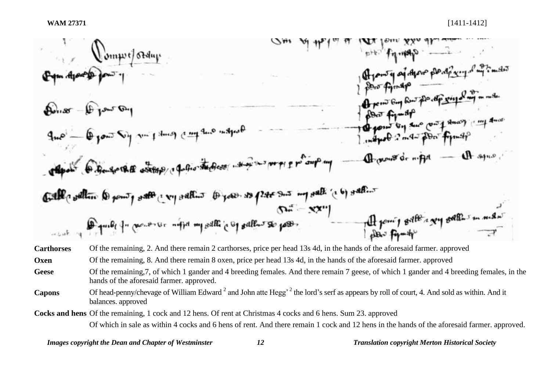

**Oxen** Of the remaining, 8. And there remain 8 oxen, price per head 13s 4d, in the hands of the aforesaid farmer. approved

Geese Of the remaining, 7, of which 1 gander and 4 breeding females. And there remain 7 geese, of which 1 gander and 4 breeding females, in the hands of the aforesaid farmer. approved.

Capons Of head-penny/chevage of William Edward<sup>2</sup> and John atte Hegg<sup>, 2</sup> the lord's serf as appears by roll of court, 4. And sold as within. And it balances. approved

**Cocks and hens** Of the remaining, 1 cock and 12 hens. Of rent at Christmas 4 cocks and 6 hens. Sum 23. approved

Of which in sale as within 4 cocks and 6 hens of rent. And there remain 1 cock and 12 hens in the hands of the aforesaid farmer. approved.

*Images copyright the Dean and Chapter of Westminster 12 Translation copyright Merton Historical Society*